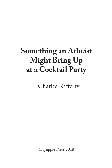# **Something an Atheist Might Bring Up at a Cocktail Party**

Charles Rafferty

Mayapple Press 2018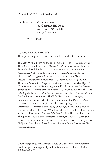### Copyright © 2018 by Charles Rafferty

Published by Mayapple Press 362 Chestnut Hill Road Woodstock, NY 12498  *mayapplepress.com*

ISBN 978-1-936419-83-8

#### ACKNOWLEDGEMENTS

These poems appeared previously, sometimes with different titles.

The Man With a Moth on the Inside Coming Out — *Prairie Schooner;*  The City and the Country — *Connecticut Review*; What We Learned From Our Dead Parakeet — *The Southern Review;* Introduction — *Breakwater;* A 26-Word Explanation — *ABZ Magazine;* Stained Glass — *ABZ Magazine;* Shadow — *Per Contra;* Stars Above the Desert — *Freshwater;* Bittersweet — *Connecticut Review* ; The Knife Thrower's Assistant — *Ellipsis;* The Contortionist — *The Wax Paper*; A Man Remembers Not Swimming in the Pacific Ocean — *Coe Review;*  Supposition — *Breakwater;* On Poetry — *Connecticut Review;* The Man Painting the Inside — *That Literary Review;* Nevada — *Tonopah Review*; Border Fence — *SNReview;* The Fifty-First State — *Dialogist;*  Something an Atheist Might Bring Up at a Cocktail Party — *Slant;* Backyard — *Escape Into Life;* Three Takes on Spring — *Solstice*; Persistence — *Profane;* After Seeing on Google Earth That a Woods Containing the Last Hive of Wild Honeybees I'd Ever Seen Has Become a Chicken Processing Plant — *Split Rock Review;* The Man Puts His Thoughts in Order After Visiting the Barringer Crater — *Glass;* Star — *Hawaii Pacific Review;* Shadow — *Per Contra;* Noah — *Poetry Motel Wallpaper Series;* Pharaoh — *Rockhurst Review;* Jesus's Brother — *The Southern Review*

Cover design by Judith Kerman. Photo of author by Wendy Rafferty. Book designed and typeset by Judith Kerman with titles and text in Adobe Caslon Pro.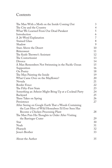# Contents

| The Man With a Moth on the Inside Coming Out            | 3              |
|---------------------------------------------------------|----------------|
| The City and the Country                                | $\overline{4}$ |
| What We Learned From Our Dead Parakeet                  | 5              |
| Introduction                                            | 6              |
| A 26-Word Explanation                                   | $\overline{7}$ |
| <b>Stained Glass</b>                                    | 8              |
| Shadow                                                  | 9              |
| <b>Stars Above the Desert</b>                           | 10             |
| <b>Bittersweet</b>                                      | 11             |
| The Knife Thrower's Assistant                           | 12             |
| The Contortionist                                       | 13             |
| Divorce                                                 | 14             |
| A Man Remembers Not Swimming in the Pacific Ocean       | 15             |
| Supposition                                             | 16             |
| On Poetry                                               | 18             |
| The Man Painting the Inside                             | 19             |
| What Came Over on the Mayflower?                        | 20             |
| Nevada                                                  | 21             |
| <b>Border Fence</b>                                     | 22             |
| The Fifty-First State                                   | 23             |
| Something an Atheist Might Bring Up at a Cocktail Party | 24             |
| Backyard                                                | 25             |
| Three Takes on Spring                                   | 26             |
| Persistence                                             | 27             |
| After Seeing on Google Earth That a Woods Containing    |                |
| the Last Hive of Wild Honeybees I'd Ever Seen Has       |                |
| Become a Chicken Processing Plant                       | 28             |
| The Man Puts His Thoughts in Order After Visiting       |                |
| the Barringer Crater                                    | 29             |
| Star                                                    | 30             |
| Noah                                                    | 31             |
| Pharaoh                                                 | 32             |
| Jesus's Brother                                         | 33             |
| About the Author                                        | 35             |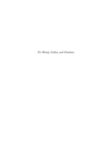*For Wendy, Callan, and Chatham*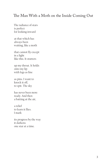# The Man With a Moth on the Inside Coming Out

The radiance of stars is perfect for looking inward

at that which has always been waiting, like a moth

that cannot fly except in a light like this. It stutters

up my throat. It holds onto my lip with legs as fine

as pins. I want to knock it off, to spit. The sky

has never been more ready. And then a batting at the air,

a relief to learn it flies. I mark

its progress by the way it darkens one star at a time.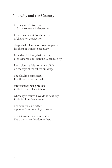# The City and the Country

The city won't stop. Even at 3 a.m. someone is desperate

for a drink or a girl or the smoke of their own destruction

deeply held. The moon does not pause for them. It wants to get away

from their kicking, their rattling of the door inside its frame. A cab rolls by

like a slow marble. Antennas blink on the tops of the tallest buildings.

The pleading comes next. It is the sound of one dish

after another being broken in the kitchen of a neighbor

whose eyes you will avoid the next day in the building's mailroom.

The country is no better. A possum's in the attic, and roots

crack into the basement walls. She won't open this door either.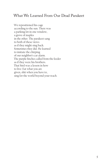# What We Learned From Our Dead Parakeet

We repositioned his cage according to the sun. There was a parking lot in one window, a grove of maples in the other. The parakeet sang to both of these views as if they might sing back. Sometimes they did. He learned to imitate the chirping of our neighbor's car alarm. The purple finches called from the feeder as if they were his brothers. That bird was a lesson in how to live: Eat what you are given, shit when you have to, sing for the world beyond your reach.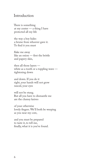# Introduction

There is something at my center — a thing I have protected all my life

the way a boy hides a bruise from whoever gave it. To find it you must

flake me away like an onion — first the brittle and papery skin,

then all those layers white as a tooth or a toppling wave tightening down

and down. If you do it right, your hands will not grow rancid, your eyes

will not be stung. But all you have to dismantle me are the clumsy knives

of your otherwise lovely fingers. We'll both be weeping as you near my core,

and you must be prepared to taste it, to tell me, finally, what it is you've found.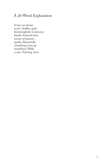# A 26-Word Explanation

A boy can dream exotic: fireflies, girls, hummingbirds in January, kayaks, lionized men, nooses of passion, quarks. Repeatedly something turns up vandalized. Walls, x-rays. Yawning zeros.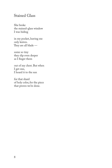# Stained Glass

She broke the stained-glass window I was hiding

in my pocket, leaving me only knives. They are all blade —

some so tiny they slip even deeper as I finger them

out of my chest. But when I get one, I hoard it to the sun

for that shard of holy color, for the piece that proves we're done.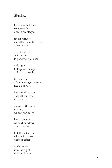## Shadow

Darkness that is me, recognizable only in profile, you

try on surfaces and all of them fit — even other people,

even the creek as it rushes to get away. You need

only light to leap into being: a cigarette match,

the bare bulb of an interrogation room. Even a camera

flash confirms you. They all contrive the same

darkness, the same mystery we cast and carry

like a suitcase we can't put down or even open

to tell what we have taken with us without effort

or choice into the night that swallows us.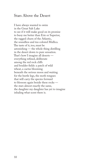## Stars Above the Desert

I have always wanted to swim in the Great Salt Lake to see if it will make good on its promise to buoy me better than Erie or Superior, the ragged churn of the Atlantic, the soundless and tea-colored Mullica. The taste of it, too, must be astonishing — the whole thing distilling in the desert down to pure sensation. That's how I imagine all deserts everything refined, deliberate among the red rock cliffs and boulder fields: a patch of wild wheat, a cactus blooming beneath the serious moon and waiting for the beetle legs, the moth tongues that will carry the species forward to blossom again beside these rocks the stars almost exactly the same, the daughter my daughter has yet to imagine inhaling what scent there is.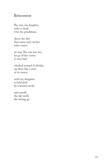# Bittersweet

The vine my daughter rides is dead. Out she pendulums

above the dirt that stains and catches what comes

its way. The vine has not let go of the crown it once had

climbed toward. It divides up there like a river at its source

until my daughter is held aloft by seasonal creeks

and runoff, the sky itself, the letting go.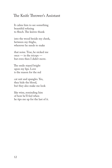# The Knife Thrower's Assistant

It calms him to see something beautiful refusing to flinch. The knives thunk

into the wood beside my cheek, between my thighs, wherever he needs to make

that noise. True, he nicked me once — in the triceps but even then I didn't move.

The smile stayed bright upon my lips. Love is the reason for the red

cat suit and spangles. Yes, they hide the blood, but they also make me look

like wine, reminding him of how he'll feel when he tips me up for the last of it.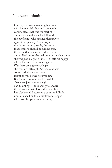# The Contortionist

One day she was scratching her back with her own left foot and somebody commented. That was the start of it. The spandex and spangles followed, the boyfriends who amazed themselves against her pliancy. And always the show-stopping smile, the sense that someone should be filming this, the sense that when she righted herself and walked out of the bedroom or the circus tent she was just like you or me — a little bit happy, a little bit used. It became a game. Was there an angle or a shape she wouldn't attempt? As far as she was concerned, the Kama Sutra might as well be the hokeypokey. But the men were never her match. They were just counterweight and fumbling — an inability to endure the pleasures that bloomed around her like black-eyed Susans on a summer hillside, undiminished by the local flower arranger who takes his pick each morning.